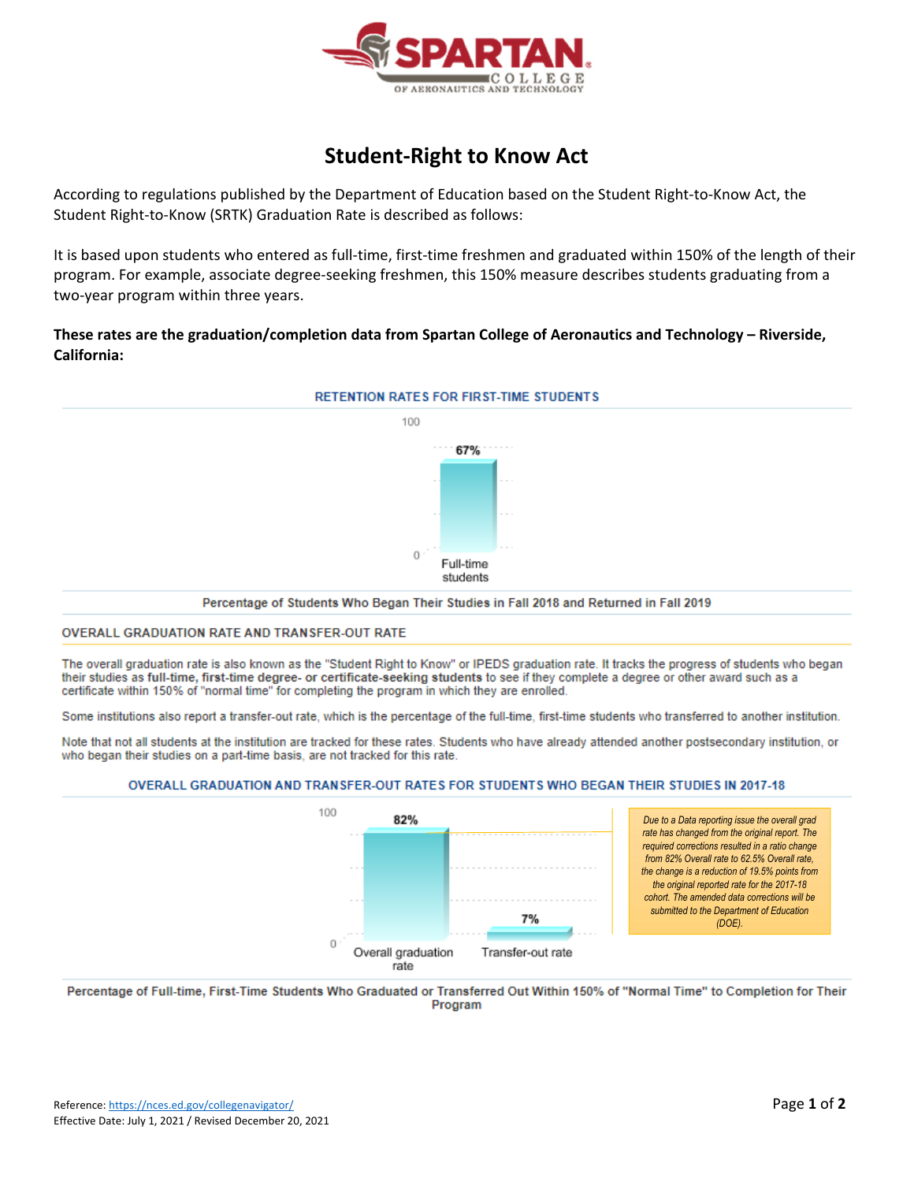

# **Student‐Right to Know Act**

According to regulations published by the Department of Education based on the Student Right‐to‐Know Act, the Student Right‐to‐Know (SRTK) Graduation Rate is described as follows:

It is based upon students who entered as full-time, first-time freshmen and graduated within 150% of the length of their program. For example, associate degree‐seeking freshmen, this 150% measure describes students graduating from a two‐year program within three years.

## **These rates are the graduation/completion data from Spartan College of Aeronautics and Technology – Riverside, California:**



Percentage of Students Who Began Their Studies in Fall 2018 and Returned in Fall 2019

#### OVERALL GRADUATION RATE AND TRANSFER-OUT RATE

The overall graduation rate is also known as the "Student Right to Know" or IPEDS graduation rate. It tracks the progress of students who began their studies as full-time, first-time degree- or certificate-seeking students to see if they complete a degree or other award such as a certificate within 150% of "normal time" for completing the program in which they are enrolled.

Some institutions also report a transfer-out rate, which is the percentage of the full-time, first-time students who transferred to another institution.

Note that not all students at the institution are tracked for these rates. Students who have already attended another postsecondary institution, or who began their studies on a part-time basis, are not tracked for this rate.

#### OVERALL GRADUATION AND TRANSFER-OUT RATES FOR STUDENTS WHO BEGAN THEIR STUDIES IN 2017-18



Percentage of Full-time, First-Time Students Who Graduated or Transferred Out Within 150% of "Normal Time" to Completion for Their Program